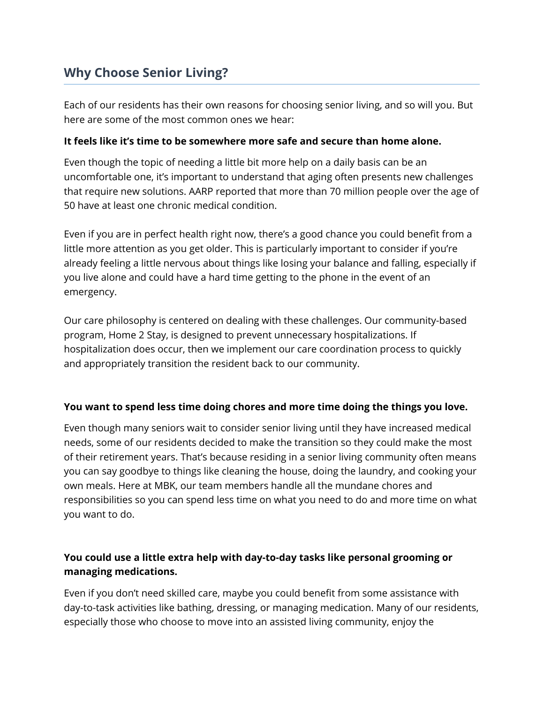# **Why Choose Senior Living?**

Each of our residents has their own reasons for choosing senior living, and so will you. But here are some of the most common ones we hear:

### **It feels like it's time to be somewhere more safe and secure than home alone.**

Even though the topic of needing a little bit more help on a daily basis can be an uncomfortable one, it's important to understand that aging often presents new challenges that require new solutions. AARP reported that more than 70 million people over the age of 50 have at least one chronic medical condition.

Even if you are in perfect health right now, there's a good chance you could benefit from a little more attention as you get older. This is particularly important to consider if you're already feeling a little nervous about things like losing your balance and falling, especially if you live alone and could have a hard time getting to the phone in the event of an emergency.

Our care philosophy is centered on dealing with these challenges. Our community-based program, Home 2 Stay, is designed to prevent unnecessary hospitalizations. If hospitalization does occur, then we implement our care coordination process to quickly and appropriately transition the resident back to our community.

## **You want to spend less time doing chores and more time doing the things you love.**

Even though many seniors wait to consider senior living until they have increased medical needs, some of our residents decided to make the transition so they could make the most of their retirement years. That's because residing in a senior living community often means you can say goodbye to things like cleaning the house, doing the laundry, and cooking your own meals. Here at MBK, our team members handle all the mundane chores and responsibilities so you can spend less time on what you need to do and more time on what you want to do.

# **You could use a little extra help with day-to-day tasks like personal grooming or managing medications.**

Even if you don't need skilled care, maybe you could benefit from some assistance with day-to-task activities like bathing, dressing, or managing medication. Many of our residents, especially those who choose to move into an assisted living community, enjoy the